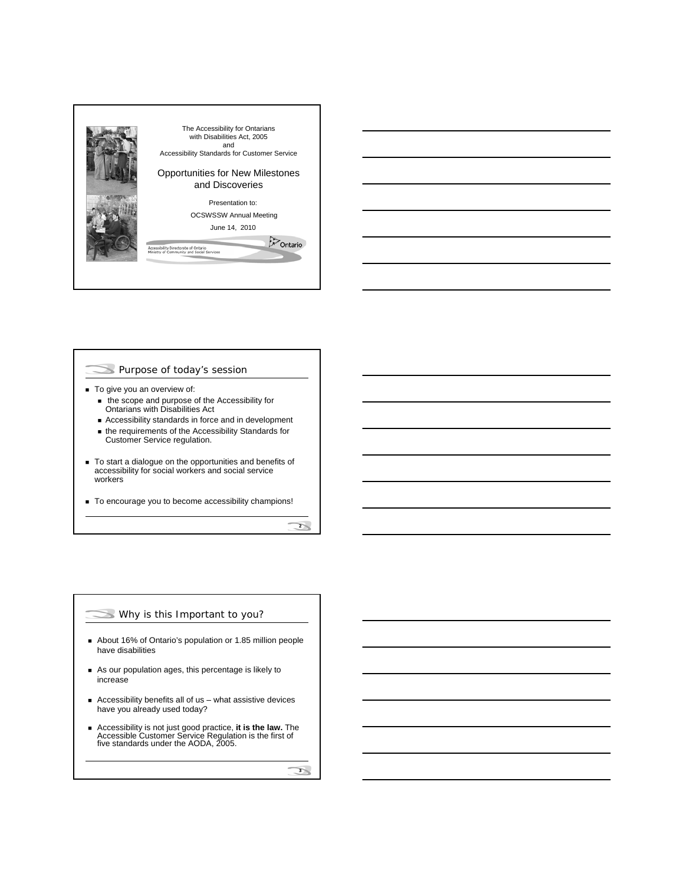| The Accessibility for Ontarians                                                                     |  |  |
|-----------------------------------------------------------------------------------------------------|--|--|
| with Disabilities Act, 2005                                                                         |  |  |
| and                                                                                                 |  |  |
| Accessibility Standards for Customer Service                                                        |  |  |
|                                                                                                     |  |  |
| Opportunities for New Milestones                                                                    |  |  |
| and Discoveries                                                                                     |  |  |
|                                                                                                     |  |  |
| Presentation to:                                                                                    |  |  |
| <b>OCSWSSW Annual Meeting</b>                                                                       |  |  |
| June 14, 2010                                                                                       |  |  |
|                                                                                                     |  |  |
| <b>Ontario</b><br>Accessibility Directorate of Ontario<br>Ministry of Community and Social Services |  |  |
|                                                                                                     |  |  |
|                                                                                                     |  |  |
|                                                                                                     |  |  |
|                                                                                                     |  |  |



### **Purpose of today's session**

- $\blacksquare$  To give you an overview of:
	- the scope and purpose of the Accessibility for Ontarians with Disabilities Act
	- Accessibility standards in force and in development the requirements of the Accessibility Standards for
	- Customer Service regulation.
- $\blacksquare$  To start a dialogue on the opportunities and benefits of accessibility for social workers and social service workers
- $\blacksquare$  To encourage you to become accessibility champions!

**2**

### Why is this Important to you?

- About 16% of Ontario's population or 1.85 million people have disabilities
- As our population ages, this percentage is likely to increase
- $\blacksquare$  Accessibility benefits all of us what assistive devices have you already used today?
- Accessibility is not just good practice, **it is the law.** The Accessible Customer Service Regulation is the first of five standards under the AODA, 2005.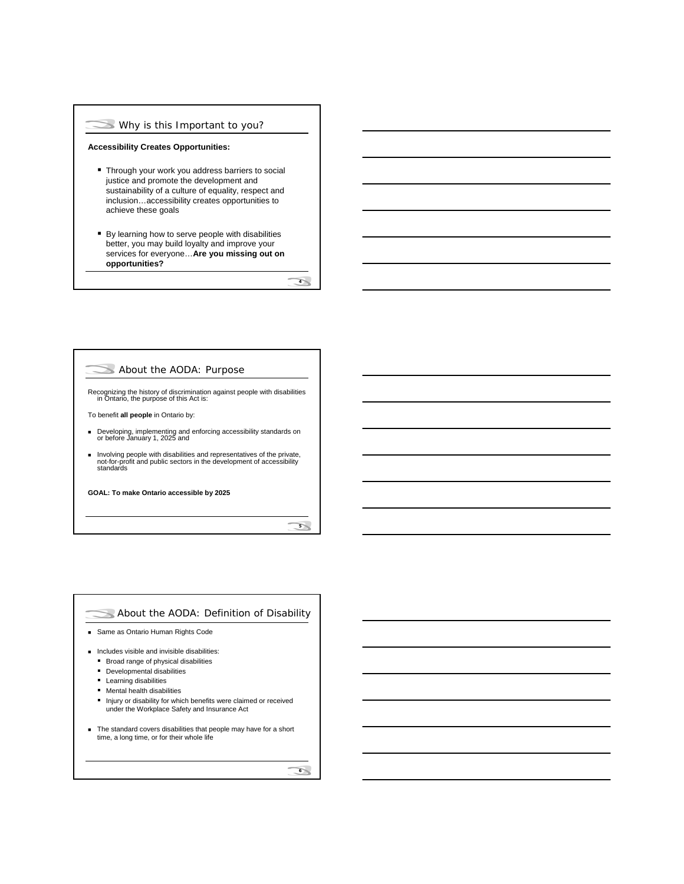# Why is this Important to you?

### **Accessibility Creates Opportunities:**

- Through your work you address barriers to social justice and promote the development and sustainability of a culture of equality, respect and inclusion…accessibility creates opportunities to achieve these goals
- By learning how to serve people with disabilities better, you may build loyalty and improve your services for everyone…**Are you missing out on opportunities?**

**4**

### About the AODA: Purpose

Recognizing the history of discrimination against people with disabilities in Ontario, the purpose of this Act is:

To benefit **all people** in Ontario by:

- Developing, implementing and enforcing accessibility standards on or before January 1, 2025 and
- Involving people with disabilities and representatives of the private, not-for-profit and public sectors in the development of accessibility standards

**GOAL: To make Ontario accessible by 2025**

**5**

### About the AODA: Definition of Disability

- Same as Ontario Human Rights Code
- $\blacksquare$  Includes visible and invisible disabilities:
	- **Broad range of physical disabilities**
	- **Developmental disabilities**
	- **Learning disabilities**
	- Mental health disabilities
	- **Injury or disability for which benefits were claimed or received** under the Workplace Safety and Insurance Act
- $\blacksquare$  The standard covers disabilities that people may have for a short time, a long time, or for their whole life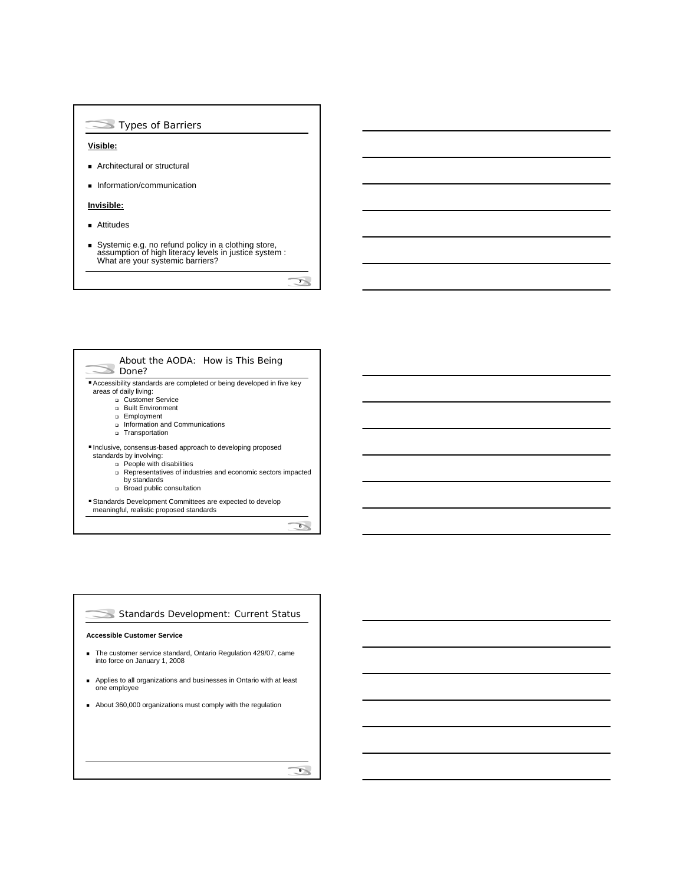



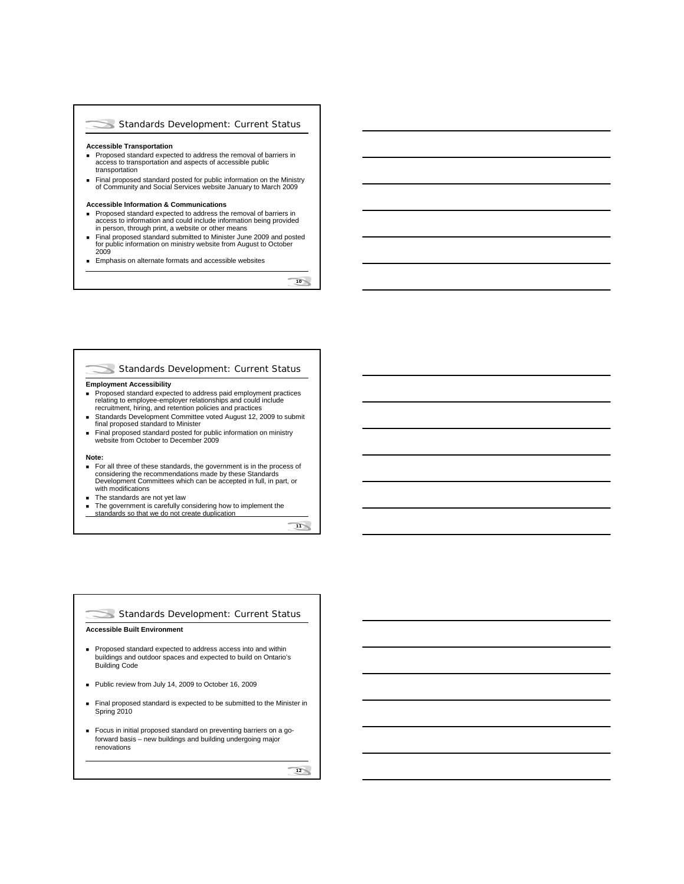

### **Accessible Transportation**

- Proposed standard expected to address the removal of barriers in access to transportation and aspects of accessible public transportation
- Final proposed standard posted for public information on the Ministry of Community and Social Services website January to March 2009

### **Accessible Information & Communications**

- **Proposed standard expected to address the removal of barriers in** access to information and could include information being provided in person, through print, a website or other means
- Final proposed standard submitted to Minister June 2009 and posted for public information on ministry website from August to October 2009
- **Emphasis on alternate formats and accessible websites**

**10**

### Standards Development: Current Status

### **Employment Accessibility**

- Proposed standard expected to address paid employment practices relating to employee-employer relationships and could include recruitment, hiring, and retention policies and practices
- Standards Development Committee voted August 12, 2009 to submit final proposed standard to Minister
- Final proposed standard posted for public information on ministry website from October to December 2009

#### **Note:**

- For all three of these standards, the government is in the process of considering the recommendations made by these Standards Development Committees which can be accepted in full, in part, or with modifications
- The standards are not yet law
- The government is carefully considering how to implement the standards so that we do not create duplication

**11**

### Standards Development: Current Status

### **Accessible Built Environment**

- **Proposed standard expected to address access into and within** buildings and outdoor spaces and expected to build on Ontario's Building Code
- Public review from July 14, 2009 to October 16, 2009
- Final proposed standard is expected to be submitted to the Minister in Spring 2010
- Focus in initial proposed standard on preventing barriers on a goforward basis – new buildings and building undergoing major renovations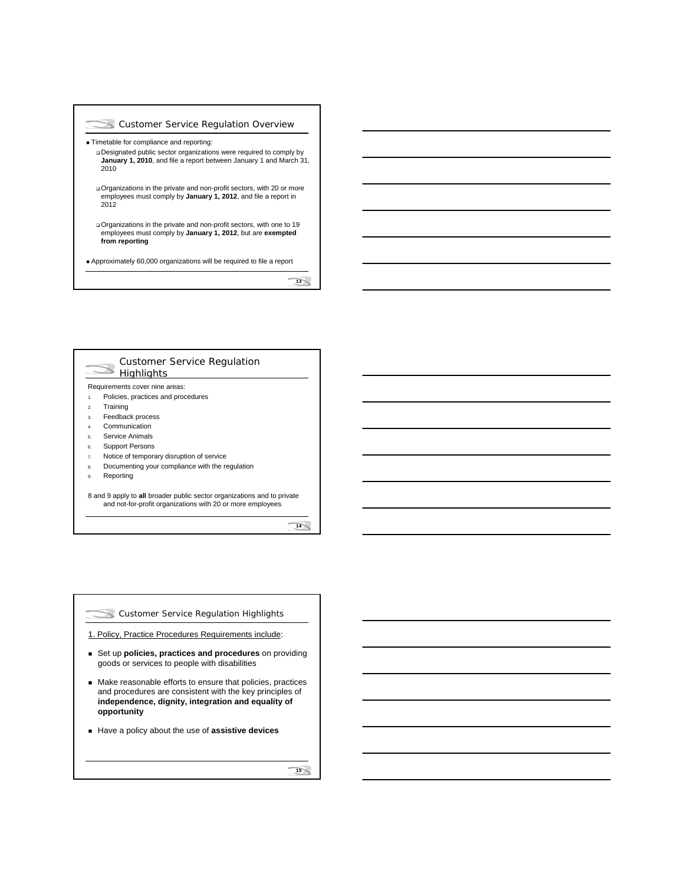

#### Customer Service Regulation 5 **Highlights**

### Requirements cover nine areas:

- 1. Policies, practices and procedures
- 2. Training
- 3. Feedback process
- 4. Communication
- 5. Service Animals
- 6. Support Persons
- 7. Notice of temporary disruption of service
- 8. Documenting your compliance with the regulation
- 9. Reporting

8 and 9 apply to **all** broader public sector organizations and to private and not-for-profit organizations with 20 or more employees

**14**

# Customer Service Regulation Highlights

1. Policy, Practice Procedures Requirements include:

- Set up **policies, practices and procedures** on providing goods or services to people with disabilities
- Make reasonable efforts to ensure that policies, practices and procedures are consistent with the key principles of **independence, dignity, integration and equality of opportunity**
- Have a policy about the use of **assistive devices**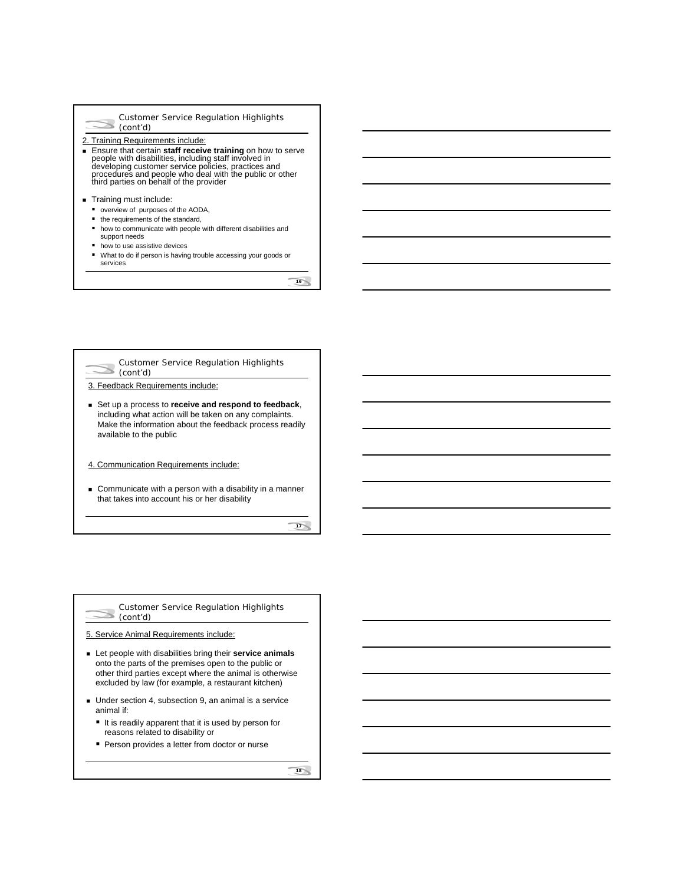- Customer Service Regulation Highlights (cont'd)
- 2. Training Requirements include:
- Ensure that certain **staff receive training** on how to serve people with disabilities, including staff involved in developing customer service policies, practices and procedures and people who deal with the public or other third parties on behalf of the provider
- **Training must include:** 
	- overview of purposes of the AODA,
	- the requirements of the standard,
	- **•** how to communicate with people with different disabilities and support needs
	- how to use assistive devices
	- What to do if person is having trouble accessing your goods or services

**16**

Customer Service Regulation Highlights -(cont'd)

3. Feedback Requirements include:

- Set up a process to **receive and respond to feedback**, including what action will be taken on any complaints. Make the information about the feedback process readily available to the public
- 4. Communication Requirements include:
- Communicate with a person with a disability in a manner that takes into account his or her disability

**17**

Customer Service Regulation Highlights ×. (cont'd)

5. Service Animal Requirements include:

- Let people with disabilities bring their **service animals** onto the parts of the premises open to the public or other third parties except where the animal is otherwise excluded by law (for example, a restaurant kitchen)
- Under section 4, subsection 9, an animal is a service animal if:
	- It is readily apparent that it is used by person for reasons related to disability or
	- **Person provides a letter from doctor or nurse**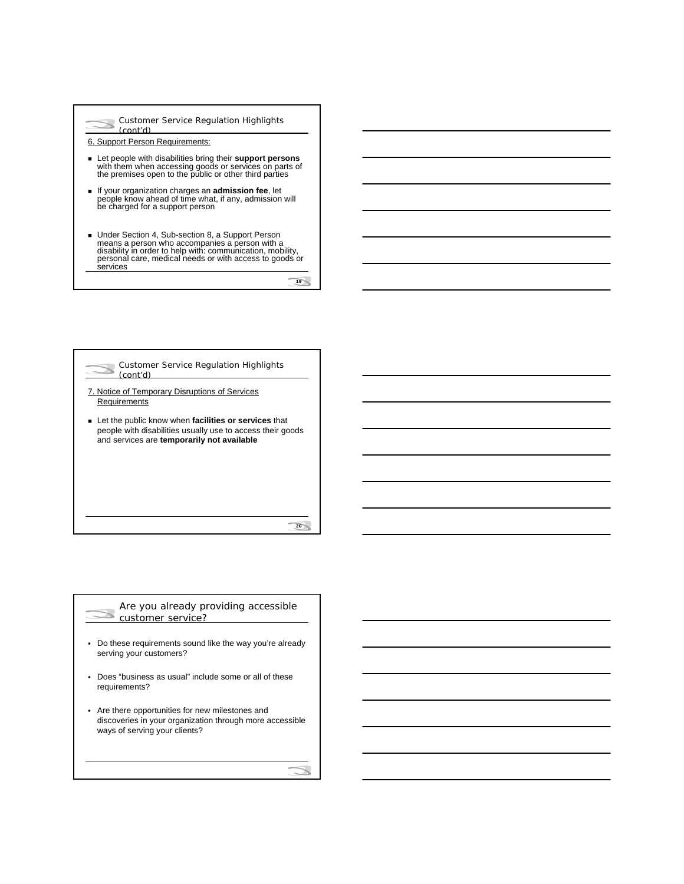|          | Customer Service Regulation Highlights |  |
|----------|----------------------------------------|--|
| (cont'd) |                                        |  |

6. Support Person Requirements:

- Let people with disabilities bring their **support persons** with them when accessing goods or services on parts of the premises open to the public or other third parties
- If your organization charges an **admission fee**, let people know ahead of time what, if any, admission will be charged for a support person
- Under Section 4, Sub-section 8, a Support Person means a person who accompanies a person with a disability in order to help with: communication, mobility, personal care, medical needs or with access to goods or services

**19**

Customer Service Regulation Highlights (cont'd)

- 7. Notice of Temporary Disruptions of Services Requirements
- Let the public know when **facilities or services** that people with disabilities usually use to access their goods and services are **temporarily not available**

**20**

Are you already providing accessible  $\overline{\phantom{a}}$ customer service?

- Do these requirements sound like the way you're already serving your customers?
- Does "business as usual" include some or all of these requirements?
- Are there opportunities for new milestones and discoveries in your organization through more accessible ways of serving your clients?

↘  $\overline{\phantom{a}}$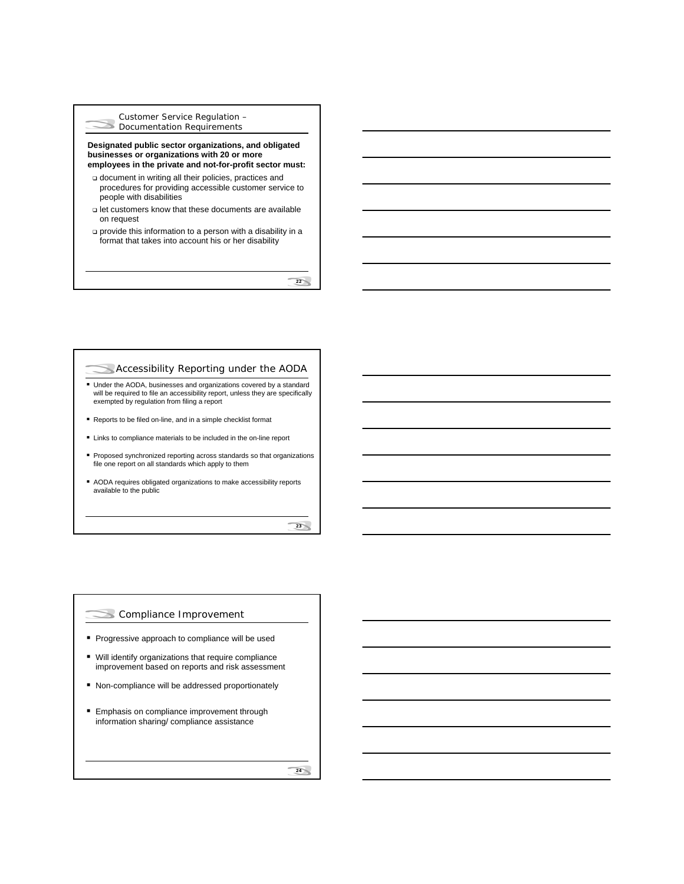Customer Service Regulation – Documentation Requirements

**Designated public sector organizations, and obligated businesses or organizations with 20 or more employees in the private and not-for-profit sector must:**

- document in writing all their policies, practices and procedures for providing accessible customer service to people with disabilities
- let customers know that these documents are available on request
- provide this information to a person with a disability in a format that takes into account his or her disability

**22**

# Accessibility Reporting under the AODA

- Under the AODA, businesses and organizations covered by a standard will be required to file an accessibility report, unless they are specifically exempted by regulation from filing a report
- Reports to be filed on-line, and in a simple checklist format
- Links to compliance materials to be included in the on-line report
- **Proposed synchronized reporting across standards so that organizations** file one report on all standards which apply to them
- AODA requires obligated organizations to make accessibility reports available to the public

**23**

### Compliance Improvement

- **Progressive approach to compliance will be used**
- Will identify organizations that require compliance improvement based on reports and risk assessment
- Non-compliance will be addressed proportionately
- **Emphasis on compliance improvement through** information sharing/ compliance assistance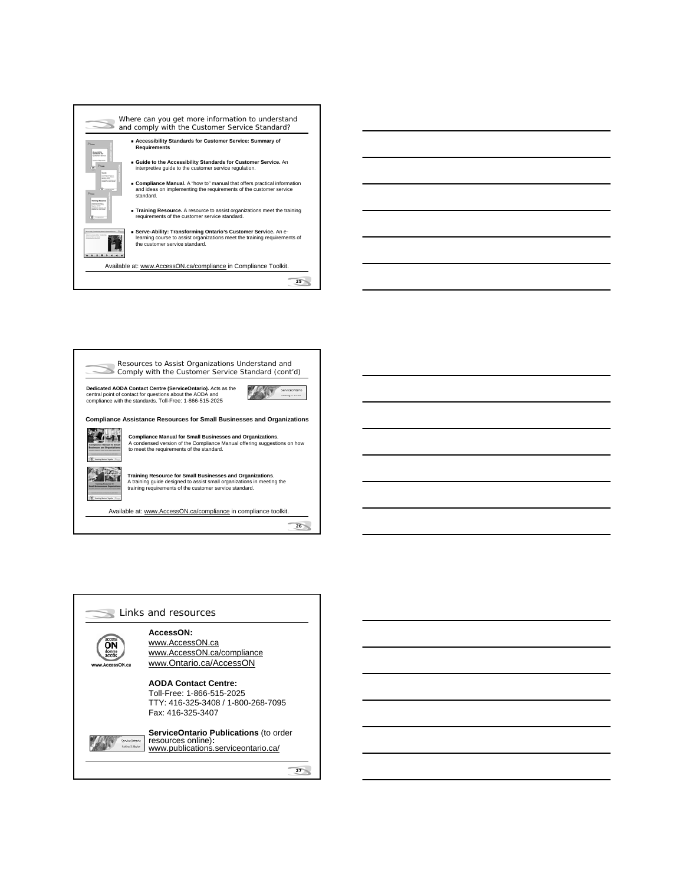



**26**